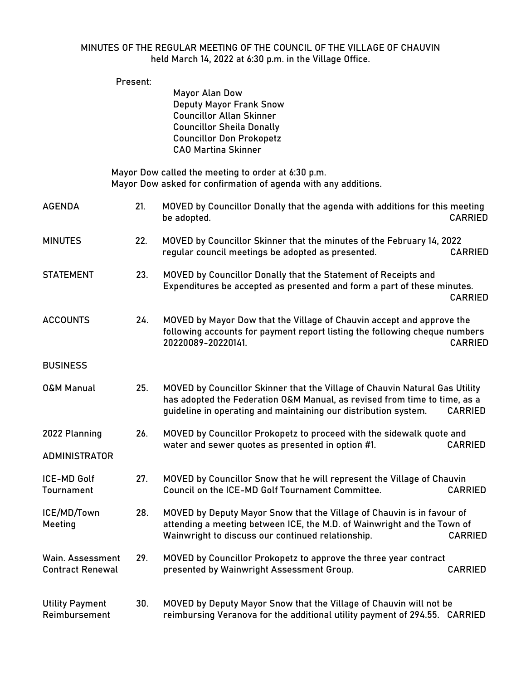## MINUTES OF THE REGULAR MEETING OF THE COUNCIL OF THE VILLAGE OF CHAUVIN held March 14, 2022 at 6:30 p.m. in the Village Office.

|                                             | Present: |                                                                                                                                                                                                                                               |                |
|---------------------------------------------|----------|-----------------------------------------------------------------------------------------------------------------------------------------------------------------------------------------------------------------------------------------------|----------------|
|                                             |          | Mayor Alan Dow<br><b>Deputy Mayor Frank Snow</b><br><b>Councillor Allan Skinner</b><br><b>Councillor Sheila Donally</b><br><b>Councillor Don Prokopetz</b><br><b>CAO Martina Skinner</b>                                                      |                |
|                                             |          | Mayor Dow called the meeting to order at 6:30 p.m.<br>Mayor Dow asked for confirmation of agenda with any additions.                                                                                                                          |                |
| <b>AGENDA</b>                               | 21.      | MOVED by Councillor Donally that the agenda with additions for this meeting<br>be adopted.                                                                                                                                                    | <b>CARRIED</b> |
| <b>MINUTES</b>                              | 22.      | MOVED by Councillor Skinner that the minutes of the February 14, 2022<br>regular council meetings be adopted as presented.                                                                                                                    | <b>CARRIED</b> |
| <b>STATEMENT</b>                            | 23.      | MOVED by Councillor Donally that the Statement of Receipts and<br>Expenditures be accepted as presented and form a part of these minutes.                                                                                                     | <b>CARRIED</b> |
| <b>ACCOUNTS</b>                             | 24.      | MOVED by Mayor Dow that the Village of Chauvin accept and approve the<br>following accounts for payment report listing the following cheque numbers<br>20220089-20220141.                                                                     | <b>CARRIED</b> |
| <b>BUSINESS</b>                             |          |                                                                                                                                                                                                                                               |                |
| <b>O&amp;M Manual</b>                       | 25.      | MOVED by Councillor Skinner that the Village of Chauvin Natural Gas Utility<br>has adopted the Federation O&M Manual, as revised from time to time, as a<br>guideline in operating and maintaining our distribution system.<br><b>CARRIED</b> |                |
| 2022 Planning                               | 26.      | MOVED by Councillor Prokopetz to proceed with the sidewalk quote and<br>water and sewer quotes as presented in option #1.                                                                                                                     | <b>CARRIED</b> |
| <b>ADMINISTRATOR</b>                        |          |                                                                                                                                                                                                                                               |                |
| ICE-MD Golf<br>Tournament                   | 27.      | MOVED by Councillor Snow that he will represent the Village of Chauvin<br>Council on the ICE-MD Golf Tournament Committee.                                                                                                                    | <b>CARRIED</b> |
| ICE/MD/Town<br>Meeting                      | 28.      | MOVED by Deputy Mayor Snow that the Village of Chauvin is in favour of<br>attending a meeting between ICE, the M.D. of Wainwright and the Town of<br>Wainwright to discuss our continued relationship.<br><b>CARRIED</b>                      |                |
| Wain. Assessment<br><b>Contract Renewal</b> | 29.      | MOVED by Councillor Prokopetz to approve the three year contract<br>presented by Wainwright Assessment Group.                                                                                                                                 | <b>CARRIED</b> |
| <b>Utility Payment</b><br>Reimbursement     | 30.      | MOVED by Deputy Mayor Snow that the Village of Chauvin will not be<br>reimbursing Veranova for the additional utility payment of 294.55. CARRIED                                                                                              |                |